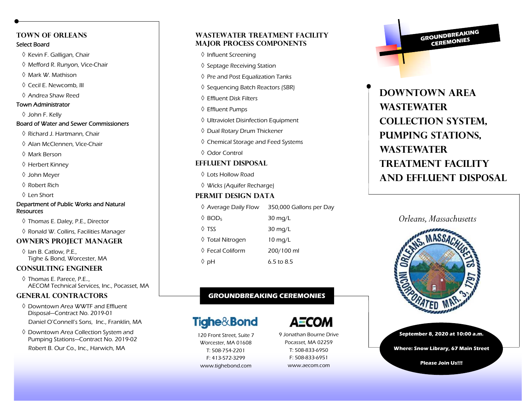# **Town of Orleans**

### Select Board

- $\Diamond$  Kevin F. Galligan, Chair
- $\Diamond$  Mefford R. Runyon, Vice-Chair
- $\Diamond$  Mark W. Mathison  $\Diamond$
- $\Diamond$  Cecil E. Newcomb, III
- Andrea Shaw Reed

# Town Administrator

John F. Kelly

#### Board of Water and Sewer Commissioners

- $\Diamond$  Richard J. Hartmann, Chair
- Alan McClennen, Vice-Chair
- Mark Berson
- $\Diamond$  Herbert Kinney
- John Meyer
- $\Diamond$  Robert Rich .
- $\Diamond$  Len Short

#### Department of Public Works and Natural Resources

- $\Diamond$  Thomas E. Daley, P.E., Director
- $\Diamond$  Ronald W. Collins, Facilities Manager

# **Owner's Project Manager**

 $\Diamond$  Ian B. Catlow, P.E., Tighe & Bond, Worcester, MA

# **Consulting Engineer**

 Thomas E. Parece, P.E.., AECOM Technical Services, Inc., Pocasset, MA

# **General Contractors**

- $\Diamond$  Downtown Area WWTF and Effluent  $\Diamond$ Disposal—Contract No. 2019-01 Daniel O'Connell's Sons, Inc., Franklin, MA
- $\Diamond$  Downtown Area Collection System and Pumping Stations—Contract No. 2019-02 Robert B. Our Co., Inc., Harwich, MA

# **Wastewater Treatment Facility Major Process Components**

- $\Diamond$  Influent Screening
- $\Diamond$  Septage Receiving Station
- $\Diamond$  Pre and Post Equalization Tanks
- $\Diamond$  Sequencing Batch Reactors (SBR)
- $\Diamond$  Effluent Disk Filters
- Effluent Pumps
- $\Diamond$  Ultraviolet Disinfection Equipment
- $\Diamond$  Dual Rotary Drum Thickener
- $\Diamond$  Chemical Storage and Feed Systems
- Odor Control

## **Effluent Disposal**

- $\Diamond$  Lots Hollow Road
- Wicks (Aquifer Recharge)

# **Permit Design Data**

Average Daily Flow 350,000 Gallons per Day  $\Diamond$  BOD<sub>5</sub>  $30$  mg/L  $\lozenge$  TSS  $30$  mg/L Total Nitrogen 10 mg/L  $\Diamond$  Fecal Coliform 200/100 ml Ha  $\Diamond$  $6.5$  to 8.5

# **GROUNDBREAKING CEREMONIES**

# **Tighe&Bond**

120 Front Street, Suite 7 Worcester, MA 01608 T: 508-754-2201 F: 413-572-3299 www.tighebond.com

9 Jonathan Bourne Drive Pocasset, MA 02259 T: 508-833-6950

А≣СОМ

F: 508-833-6951 www.aecom.com **GROUNDBREAKING** CEREMONIES

# **Downtown Area wastewater Collection System, Pumping Stations, Wastewater Treatment Facility and Effluent disposal**



**September 8, 2020 at 10:00 a.m.** 

**Where: Snow Library, 67 Main Street** 

**Please Join Us!!!**